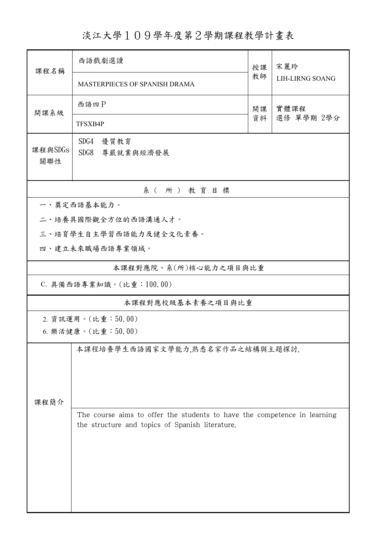淡江大學109學年度第2學期課程教學計畫表

| 課程名稱                   | 西語戲劇選讀                                                                                                                      |          | 宋麗玲                    |  |  |  |  |
|------------------------|-----------------------------------------------------------------------------------------------------------------------------|----------|------------------------|--|--|--|--|
|                        | MASTERPIECES OF SPANISH DRAMA                                                                                               | 教師       | <b>LIH-LIRNG SOANG</b> |  |  |  |  |
| 開課系級                   | 西語四P                                                                                                                        | 開課<br>資料 | 實體課程<br>選修 單學期 2學分     |  |  |  |  |
|                        | TFSXB4P                                                                                                                     |          |                        |  |  |  |  |
| 課程與SDGs<br>關聯性         | SDG4<br>優質教育<br>SDG8<br>尊嚴就業與經濟發展                                                                                           |          |                        |  |  |  |  |
| 系(所)教育目標               |                                                                                                                             |          |                        |  |  |  |  |
| 一、奠定西語基本能力。            |                                                                                                                             |          |                        |  |  |  |  |
|                        | 二、培養具國際觀全方位的西語溝通人才。                                                                                                         |          |                        |  |  |  |  |
| 三、培育學生自主學習西語能力及健全文化素養。 |                                                                                                                             |          |                        |  |  |  |  |
|                        | 四、建立未來職場西語專業領域。                                                                                                             |          |                        |  |  |  |  |
| 本課程對應院、系(所)核心能力之項目與比重  |                                                                                                                             |          |                        |  |  |  |  |
|                        | C. 具備西語專業知識。(比重: 100.00)                                                                                                    |          |                        |  |  |  |  |
| 本課程對應校級基本素養之項目與比重      |                                                                                                                             |          |                        |  |  |  |  |
|                        | 2. 資訊運用。(比重:50.00)                                                                                                          |          |                        |  |  |  |  |
|                        | 6. 樂活健康。(比重:50.00)                                                                                                          |          |                        |  |  |  |  |
| 課程簡介                   | 本課程培養學生西語國家文學能力,熟悉名家作品之結構與主題探討.                                                                                             |          |                        |  |  |  |  |
|                        | The course aims to offer the students to have the competence in learning<br>the structure and topics of Spanish literature. |          |                        |  |  |  |  |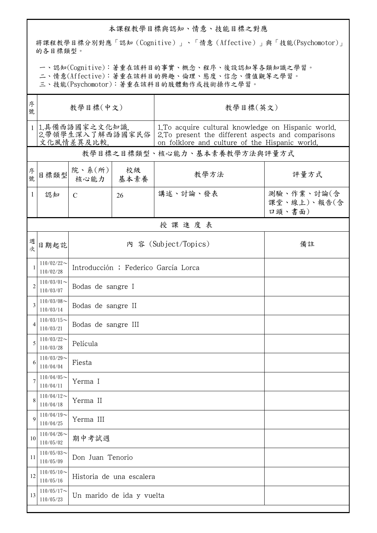## 本課程教學目標與認知、情意、技能目標之對應

將課程教學目標分別對應「認知(Cognitive)」、「情意(Affective)」與「技能(Psychomotor)」 的各目標類型。

一、認知(Cognitive):著重在該科目的事實、概念、程序、後設認知等各類知識之學習。

二、情意(Affective):著重在該科目的興趣、倫理、態度、信念、價值觀等之學習。

三、技能(Psychomotor):著重在該科目的肢體動作或技術操作之學習。

| 序<br>號         | 教學目標(中文)                       |                                      |                  | 教學目標(英文)                                                                                                                                                                       |                                     |  |  |  |  |
|----------------|--------------------------------|--------------------------------------|------------------|--------------------------------------------------------------------------------------------------------------------------------------------------------------------------------|-------------------------------------|--|--|--|--|
|                | 1 1.具備西語國家之文化知識.<br>文化風情差異及比較. |                                      |                  | 1. To acquire cultural knowledge on Hispanic world.<br>2.带領學生深入了解西語國家民俗   2.To present the different aspects and comparisons<br>on folklore and culture of the Hispanic world. |                                     |  |  |  |  |
|                | 教學目標之目標類型、核心能力、基本素養教學方法與評量方式   |                                      |                  |                                                                                                                                                                                |                                     |  |  |  |  |
| 序號             | 目標類型                           | 院、系 $(\text{m})$<br>核心能力             | 校級<br>基本素養       | 教學方法                                                                                                                                                                           | 評量方式                                |  |  |  |  |
| $\mathbf{1}$   | 認知                             | $\mathcal{C}$                        | 26               | 講述、討論、發表                                                                                                                                                                       | 測驗、作業、討論(含<br>課堂、線上)、報告(含<br>口頭、書面) |  |  |  |  |
|                | 授課進度表                          |                                      |                  |                                                                                                                                                                                |                                     |  |  |  |  |
| 週次             | 日期起訖                           | 內 容 (Subject/Topics)<br>備註           |                  |                                                                                                                                                                                |                                     |  |  |  |  |
| 1              | $110/02/22$ ~<br>110/02/28     | Introducción ; Federico García Lorca |                  |                                                                                                                                                                                |                                     |  |  |  |  |
| $\overline{c}$ | $110/03/01$ ~<br>110/03/07     | Bodas de sangre I                    |                  |                                                                                                                                                                                |                                     |  |  |  |  |
| 3              | $110/03/08$ ~<br>110/03/14     | Bodas de sangre II                   |                  |                                                                                                                                                                                |                                     |  |  |  |  |
| 4              | $110/03/15$ ~<br>110/03/21     | Bodas de sangre III                  |                  |                                                                                                                                                                                |                                     |  |  |  |  |
| 5              | $110/03/22$ ~<br>110/03/28     | Película                             |                  |                                                                                                                                                                                |                                     |  |  |  |  |
| 6              | $110/03/29$ ~<br>110/04/04     | Fiesta                               |                  |                                                                                                                                                                                |                                     |  |  |  |  |
| 7              | $110/04/05$ ~<br>110/04/11     | Yerma I                              |                  |                                                                                                                                                                                |                                     |  |  |  |  |
| 8              | $110/04/12$ ~<br>110/04/18     | Yerma II                             |                  |                                                                                                                                                                                |                                     |  |  |  |  |
| 9              | $110/04/19$ ~<br>110/04/25     | Yerma III                            |                  |                                                                                                                                                                                |                                     |  |  |  |  |
| 10             | $110/04/26$ ~<br>110/05/02     | 期中考試週                                |                  |                                                                                                                                                                                |                                     |  |  |  |  |
| 11             | $110/05/03$ ~<br>110/05/09     |                                      | Don Juan Tenorio |                                                                                                                                                                                |                                     |  |  |  |  |
| 12             | $110/05/10$ ~<br>110/05/16     | Historia de una escalera             |                  |                                                                                                                                                                                |                                     |  |  |  |  |
| 13             | $110/05/17$ ~<br>110/05/23     | Un marido de ida y vuelta            |                  |                                                                                                                                                                                |                                     |  |  |  |  |
|                |                                |                                      |                  |                                                                                                                                                                                |                                     |  |  |  |  |